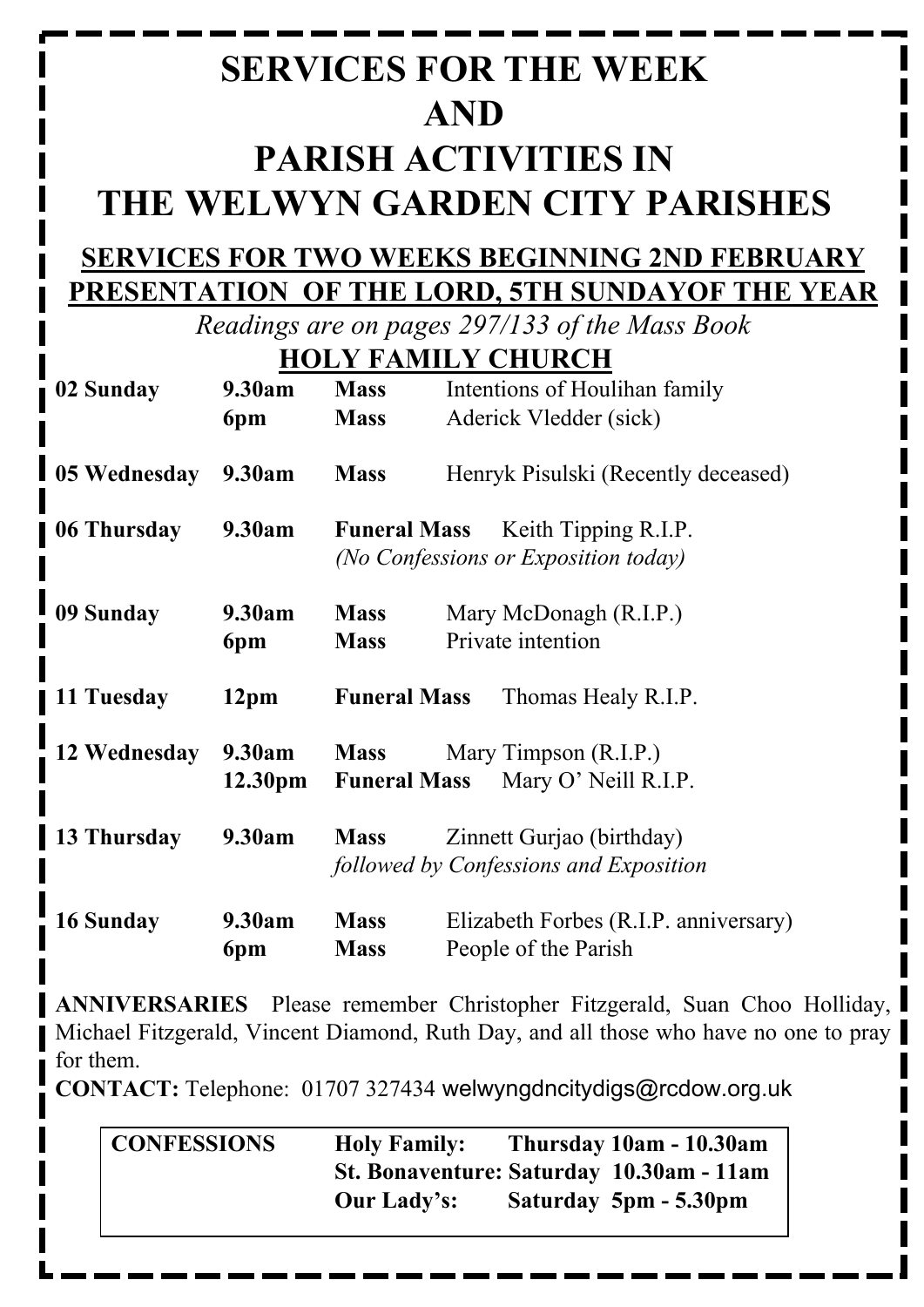# **SERVICES FOR THE WEEK AND PARISH ACTIVITIES IN THE WELWYN GARDEN CITY PARISHES**

#### **SERVICES FOR TWO WEEKS BEGINNING 2ND FEBRUARY PRESENTATION OF THE LORD, 5TH SUNDAYOF THE YEAR**

*Readings are on pages 297/133 of the Mass Book*

|  | <b>HOLY FAMILY CHURCH</b> |
|--|---------------------------|
|  |                           |

| 02 Sunday    | 9.30am              | <b>Mass</b>                                                                         | Intentions of Houlihan family         |  |
|--------------|---------------------|-------------------------------------------------------------------------------------|---------------------------------------|--|
|              | 6pm                 | <b>Mass</b>                                                                         | Aderick Vledder (sick)                |  |
| 05 Wednesday | 9.30am              | <b>Mass</b><br>Henryk Pisulski (Recently deceased)                                  |                                       |  |
| 06 Thursday  | 9.30am              | Keith Tipping R.I.P.<br><b>Funeral Mass</b><br>(No Confessions or Exposition today) |                                       |  |
| 09 Sunday    | 9.30am              | <b>Mass</b>                                                                         | Mary McDonagh (R.I.P.)                |  |
|              | 6pm                 | <b>Mass</b>                                                                         | Private intention                     |  |
| 11 Tuesday   | 12 <sub>pm</sub>    | <b>Funeral Mass</b><br>Thomas Healy R.I.P.                                          |                                       |  |
| 12 Wednesday | 9.30am              | <b>Mass</b>                                                                         | Mary Timpson (R.I.P.)                 |  |
|              | 12.30 <sub>pm</sub> | <b>Funeral Mass</b>                                                                 | Mary O' Neill R.I.P.                  |  |
| 13 Thursday  | 9.30am              | Zinnett Gurjao (birthday)<br><b>Mass</b><br>followed by Confessions and Exposition  |                                       |  |
| 16 Sunday    | 9.30am              | <b>Mass</b>                                                                         | Elizabeth Forbes (R.I.P. anniversary) |  |
|              | 6pm                 | <b>Mass</b>                                                                         | People of the Parish                  |  |

**ANNIVERSARIES** Please remember Christopher Fitzgerald, Suan Choo Holliday, Michael Fitzgerald, Vincent Diamond, Ruth Day, and all those who have no one to pray for them.

**CONTACT:** Telephone: 01707 327434 welwyngdncitydigs@rcdow.org.uk

| CONFESSIONS | <b>Holy Family:</b>                      | Thursday 10am - 10.30am |
|-------------|------------------------------------------|-------------------------|
|             | St. Bonaventure: Saturday 10.30am - 11am |                         |
|             | Our Lady's:                              | Saturday 5pm - 5.30pm   |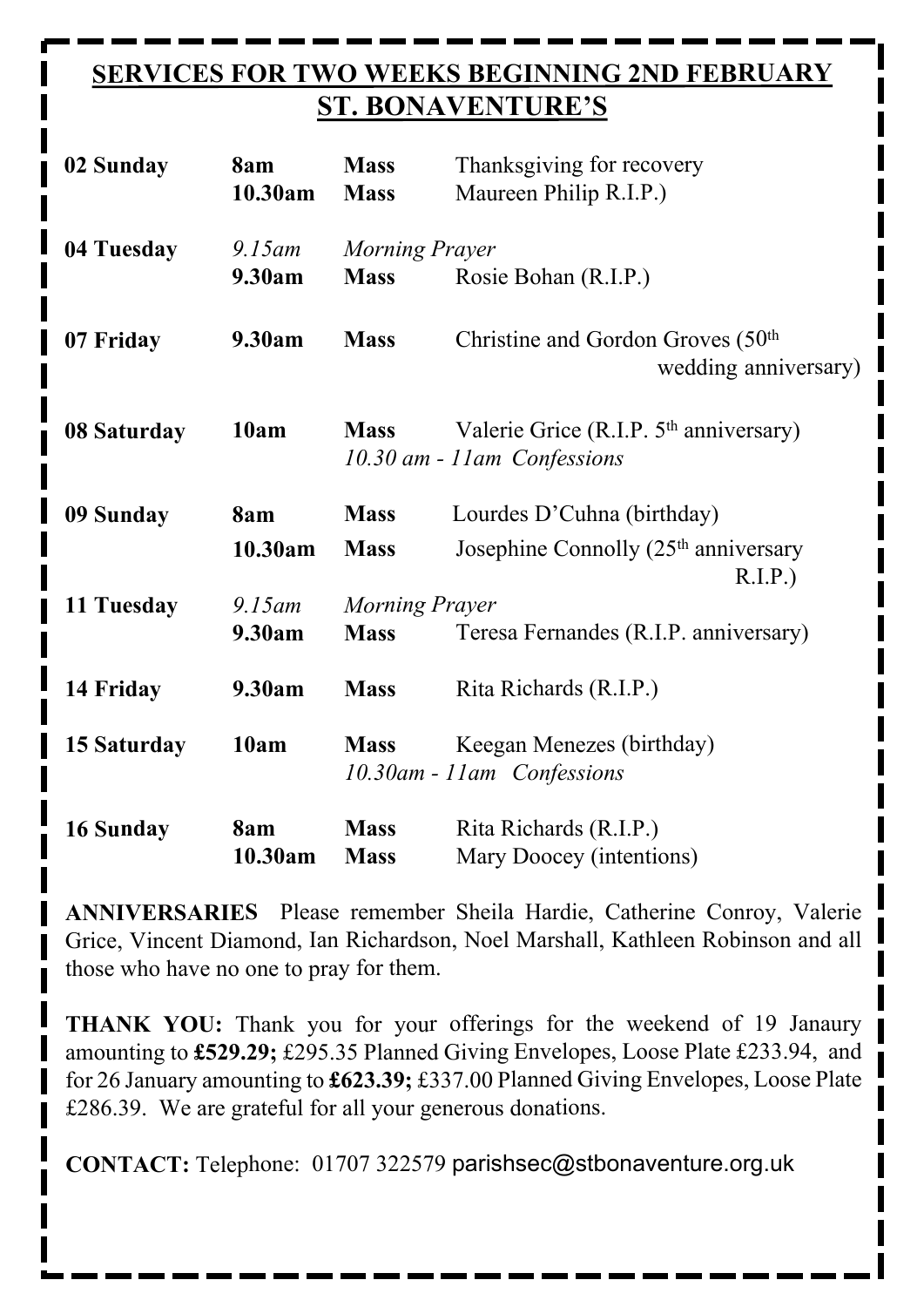## **SERVICES FOR TWO WEEKS BEGINNING 2ND FEBRUARY ST. BONAVENTURE'S**

| 02 Sunday   | 8am<br>10.30am      | <b>Mass</b><br><b>Mass</b>                            | Thanksgiving for recovery<br>Maureen Philip R.I.P.)                                |  |
|-------------|---------------------|-------------------------------------------------------|------------------------------------------------------------------------------------|--|
| 04 Tuesday  | $9.15$ am<br>9.30am | Morning Prayer<br><b>Mass</b><br>Rosie Bohan (R.I.P.) |                                                                                    |  |
| 07 Friday   | 9.30am              | <b>Mass</b>                                           | Christine and Gordon Groves (50 <sup>th</sup> )<br>wedding anniversary)            |  |
| 08 Saturday | 10am                | <b>Mass</b>                                           | Valerie Grice (R.I.P. 5 <sup>th</sup> anniversary)<br>10.30 am - 11 am Confessions |  |
| 09 Sunday   | 8am                 | <b>Mass</b>                                           | Lourdes D'Cuhna (birthday)                                                         |  |
|             | 10.30am             | <b>Mass</b>                                           | Josephine Connolly (25 <sup>th</sup> anniversary<br>R.I.P.                         |  |
| 11 Tuesday  | $9.15$ am           |                                                       | <b>Morning Prayer</b>                                                              |  |
|             | 9.30am              | <b>Mass</b>                                           | Teresa Fernandes (R.I.P. anniversary)                                              |  |
| 14 Friday   | 9.30am              | <b>Mass</b>                                           | Rita Richards (R.I.P.)                                                             |  |
| 15 Saturday | 10am                | <b>Mass</b>                                           | Keegan Menezes (birthday)<br>10.30am - 11am Confessions                            |  |
| 16 Sunday   | 8am<br>10.30am      | <b>Mass</b><br><b>Mass</b>                            | Rita Richards (R.I.P.)<br>Mary Doocey (intentions)                                 |  |

**ANNIVERSARIES** Please remember Sheila Hardie, Catherine Conroy, Valerie Grice, Vincent Diamond, Ian Richardson, Noel Marshall, Kathleen Robinson and all those who have no one to pray for them.

**THANK YOU:** Thank you for your offerings for the weekend of 19 Janaury amounting to **£529.29;** £295.35 Planned Giving Envelopes, Loose Plate £233.94, and for 26 January amounting to **£623.39;** £337.00 Planned Giving Envelopes, Loose Plate £286.39. We are grateful for all your generous donations.

**CONTACT:** Telephone: 01707 322579 parishsec@stbonaventure.org.uk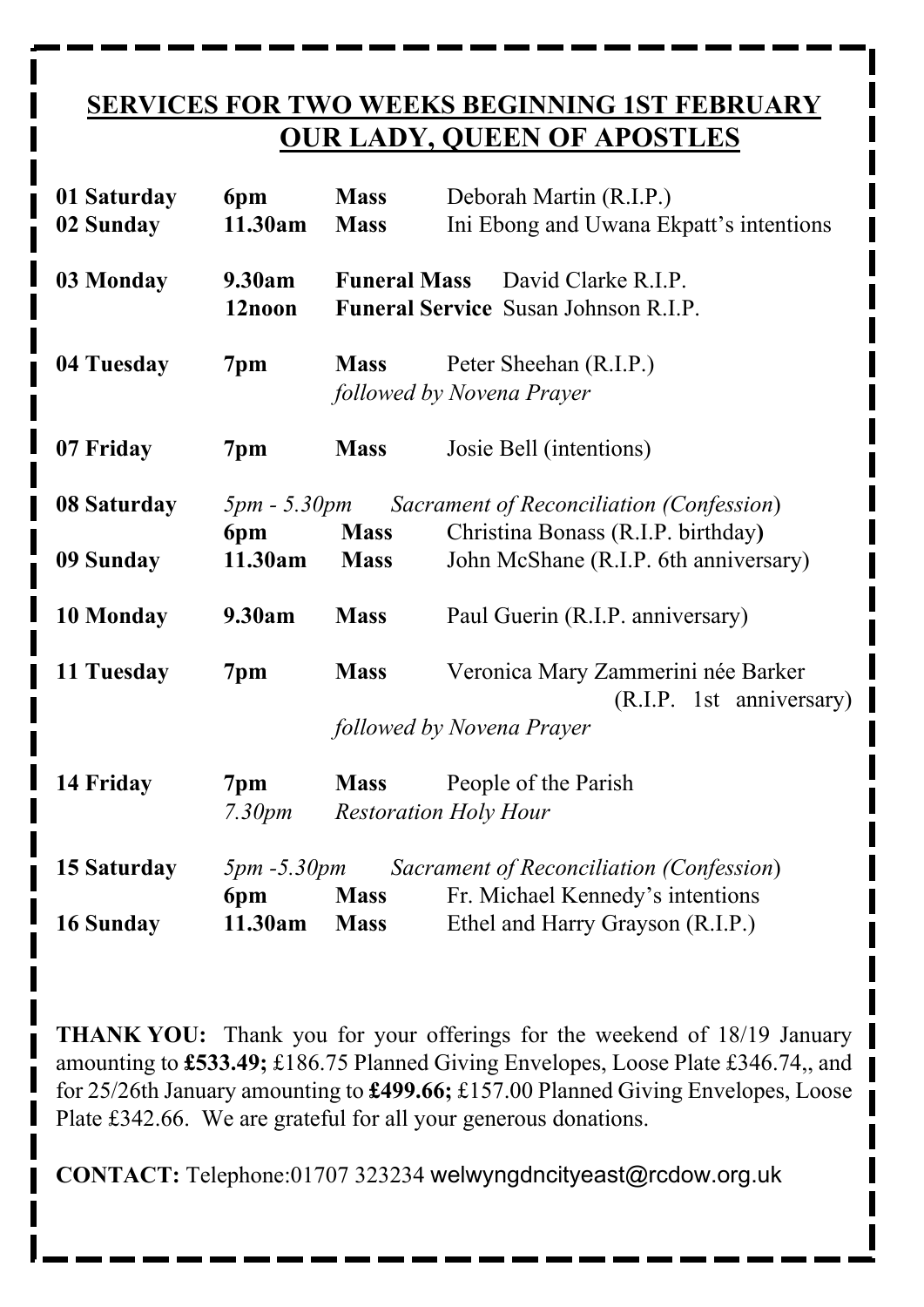## **SERVICES FOR TWO WEEKS BEGINNING 1ST FEBRUARY OUR LADY, QUEEN OF APOSTLES**

| 01 Saturday<br>02 Sunday | 6pm<br>11.30am            | <b>Mass</b><br><b>Mass</b> | Deborah Martin (R.I.P.)<br>Ini Ebong and Uwana Ekpatt's intentions          |  |
|--------------------------|---------------------------|----------------------------|-----------------------------------------------------------------------------|--|
| 03 Monday                | 9.30am<br>12noon          | <b>Funeral Mass</b>        | David Clarke R.I.P.<br><b>Funeral Service Susan Johnson R.I.P.</b>          |  |
| 04 Tuesday               | 7pm                       | <b>Mass</b>                | Peter Sheehan (R.I.P.)<br>followed by Novena Prayer                         |  |
| 07 Friday                | 7pm                       | <b>Mass</b>                | Josie Bell (intentions)                                                     |  |
| 08 Saturday              | $5pm - 5.30pm$            |                            | Sacrament of Reconciliation (Confession)                                    |  |
| 09 Sunday                | 6pm<br>11.30am            | <b>Mass</b><br><b>Mass</b> | Christina Bonass (R.I.P. birthday)<br>John McShane (R.I.P. 6th anniversary) |  |
| 10 Monday                | 9.30am                    | <b>Mass</b>                | Paul Guerin (R.I.P. anniversary)                                            |  |
| 11 Tuesday               | 7pm                       | <b>Mass</b>                | Veronica Mary Zammerini née Barker<br>(R.I.P. 1st anniversary)              |  |
|                          |                           |                            | followed by Novena Prayer                                                   |  |
| 14 Friday                | 7pm<br>7.30 <sub>pm</sub> | <b>Mass</b>                | People of the Parish<br><b>Restoration Holy Hour</b>                        |  |
| 15 Saturday              | $5pm - 5.30pm$            |                            | Sacrament of Reconciliation (Confession)                                    |  |
|                          | 6pm                       | <b>Mass</b>                | Fr. Michael Kennedy's intentions                                            |  |
| 16 Sunday                | 11.30am                   | <b>Mass</b>                | Ethel and Harry Grayson (R.I.P.)                                            |  |

**THANK YOU:** Thank you for your offerings for the weekend of 18/19 January amounting to **£533.49;** £186.75 Planned Giving Envelopes, Loose Plate £346.74,, and for 25/26th January amounting to **£499.66;** £157.00 Planned Giving Envelopes, Loose Plate £342.66. We are grateful for all your generous donations.

**CONTACT:** Telephone:01707 323234 welwyngdncityeast@rcdow.org.uk